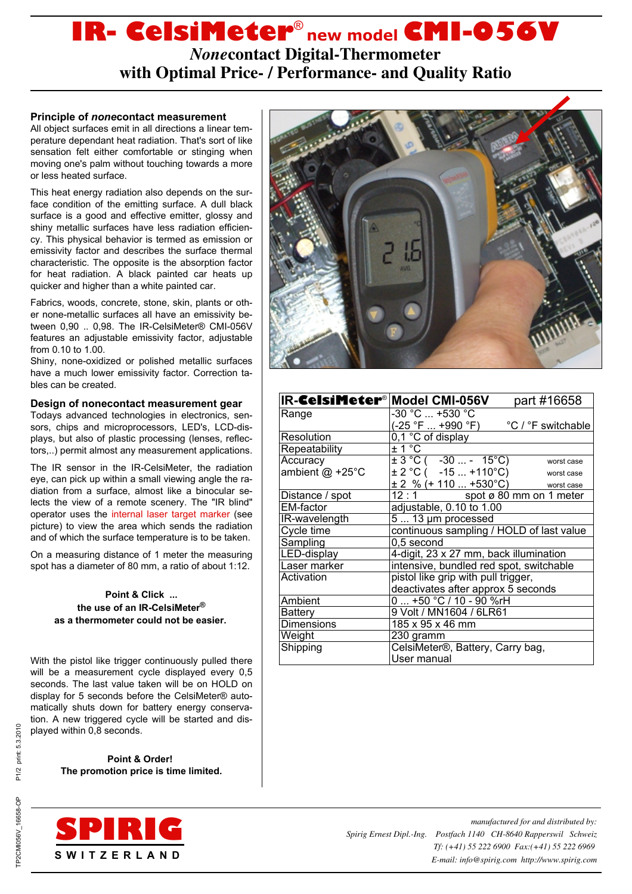# **IR- CelsiMeter**® **new model CMI-056V**

*None***contact Digital-Thermometer with Optimal Price- / Performance- and Quality Ratio**

# **Principle of** *none***contact measurement**

All object surfaces emit in all directions a linear temperature dependant heat radiation. That's sort of like sensation felt either comfortable or stinging when moving one's palm without touching towards a more or less heated surface.

This heat energy radiation also depends on the surface condition of the emitting surface. A dull black surface is a good and effective emitter, glossy and shiny metallic surfaces have less radiation efficiency. This physical behavior is termed as emission or emissivity factor and describes the surface thermal characteristic. The opposite is the absorption factor for heat radiation. A black painted car heats up quicker and higher than a white painted car.

Fabrics, woods, concrete, stone, skin, plants or other none-metallic surfaces all have an emissivity between 0,90 .. 0,98. The IR-CelsiMeter® CMI-056V features an adjustable emissivity factor, adjustable from 0.10 to 1.00.

Shiny, none-oxidized or polished metallic surfaces have a much lower emissivity factor. Correction tables can be created.

# **Design of nonecontact measurement gear**

Todays advanced technologies in electronics, sensors, chips and microprocessors, LED's, LCD-displays, but also of plastic processing (lenses, reflectors,..) permit almost any measurement applications.

The IR sensor in the IR-CelsiMeter, the radiation eye, can pick up within a small viewing angle the radiation from a surface, almost like a binocular selects the view of a remote scenery. The "IR blind" operator uses the internal laser target marker (see picture) to view the area which sends the radiation and of which the surface temperature is to be taken.

On a measuring distance of 1 meter the measuring spot has a diameter of 80 mm, a ratio of about 1:12.

## **Point & Click ... the use of an IR-CelsiMeter® as a thermometer could not be easier.**

With the pistol like trigger continuously pulled there will be a measurement cycle displayed every 0,5 seconds. The last value taken will be on HOLD on display for 5 seconds before the CelsiMeter® automatically shuts down for battery energy conservation. A new triggered cycle will be started and displayed within 0,8 seconds.

> **Point & Order! The promotion price is time limited.**





| IR-CelsiMeter <sup>®</sup> Model CMI-056V |                                          | part #16658             |
|-------------------------------------------|------------------------------------------|-------------------------|
| Range                                     | -30 °C  +530 °C                          |                         |
|                                           | (-25 °F  +990 °F)                        | °C / °F switchable      |
| Resolution                                | 0,1 °C of display                        |                         |
| Repeatability                             | ± 1 °C                                   |                         |
| Accuracy                                  | $\pm 3^{\circ}$ C ( -30  - 15°C)         | worst case              |
| ambient $@$ +25°C                         | $\pm$ 2 °C ( -15  +110°C)                | worst case              |
|                                           | $\pm$ 2 % (+ 110  +530°C)                | worst case              |
| Distance / spot                           | 12:1                                     | spot ø 80 mm on 1 meter |
| EM-factor                                 | adjustable, 0.10 to 1.00                 |                         |
| IR-wavelength                             | $513 \mu m$ processed                    |                         |
| Cycle time                                | continuous sampling / HOLD of last value |                         |
| Sampling                                  | 0,5 second                               |                         |
| LED-display                               | 4-digit, 23 x 27 mm, back illumination   |                         |
| Laser marker                              | intensive, bundled red spot, switchable  |                         |
| Activation                                | pistol like grip with pull trigger,      |                         |
|                                           | deactivates after approx 5 seconds       |                         |
| Ambient                                   | 0  +50 °C / 10 - 90 %rH                  |                         |
| Battery                                   | 9 Volt / MN1604 / 6LR61                  |                         |
| <b>Dimensions</b>                         | 185 x 95 x 46 mm                         |                         |
| Weight                                    | 230 gramm                                |                         |
| Shipping                                  | CelsiMeter®, Battery, Carry bag,         |                         |
|                                           | User manual                              |                         |